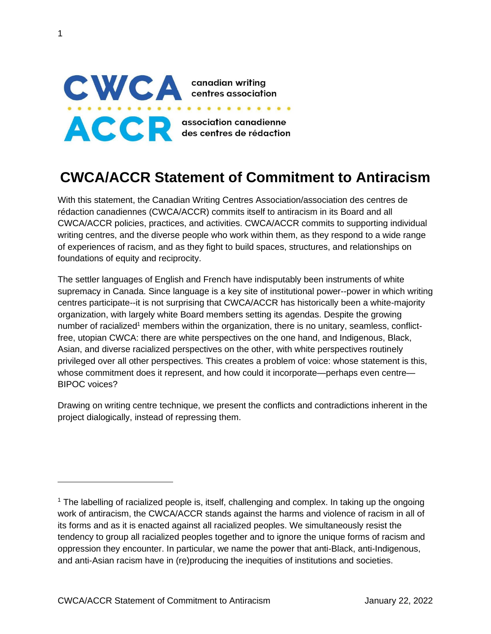

1

# **CWCA/ACCR Statement of Commitment to Antiracism**

With this statement, the Canadian Writing Centres Association/association des centres de rédaction canadiennes (CWCA/ACCR) commits itself to antiracism in its Board and all CWCA/ACCR policies, practices, and activities. CWCA/ACCR commits to supporting individual writing centres, and the diverse people who work within them, as they respond to a wide range of experiences of racism, and as they fight to build spaces, structures, and relationships on foundations of equity and reciprocity.

The settler languages of English and French have indisputably been instruments of white supremacy in Canada. Since language is a key site of institutional power--power in which writing centres participate--it is not surprising that CWCA/ACCR has historically been a white-majority organization, with largely white Board members setting its agendas. Despite the growing number of racialized<sup>1</sup> members within the organization, there is no unitary, seamless, conflictfree, utopian CWCA: there are white perspectives on the one hand, and Indigenous, Black, Asian, and diverse racialized perspectives on the other, with white perspectives routinely privileged over all other perspectives. This creates a problem of voice: whose statement is this, whose commitment does it represent, and how could it incorporate—perhaps even centre— BIPOC voices?

Drawing on writing centre technique, we present the conflicts and contradictions inherent in the project dialogically, instead of repressing them.

<sup>&</sup>lt;sup>1</sup> The labelling of racialized people is, itself, challenging and complex. In taking up the ongoing work of antiracism, the CWCA/ACCR stands against the harms and violence of racism in all of its forms and as it is enacted against all racialized peoples. We simultaneously resist the tendency to group all racialized peoples together and to ignore the unique forms of racism and oppression they encounter. In particular, we name the power that anti-Black, anti-Indigenous, and anti-Asian racism have in (re)producing the inequities of institutions and societies.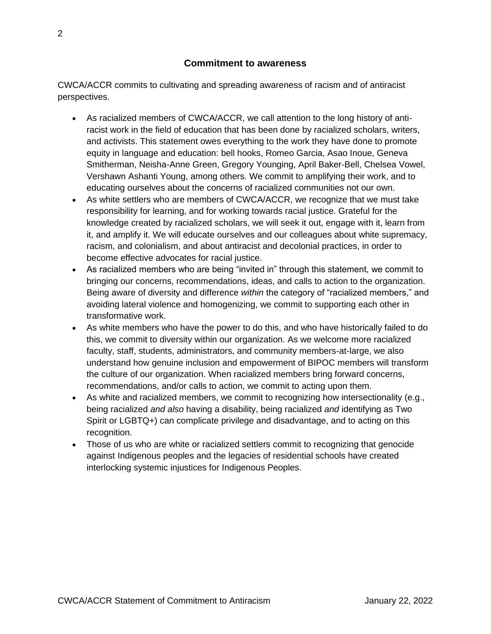CWCA/ACCR commits to cultivating and spreading awareness of racism and of antiracist perspectives.

- As racialized members of CWCA/ACCR, we call attention to the long history of antiracist work in the field of education that has been done by racialized scholars, writers, and activists. This statement owes everything to the work they have done to promote equity in language and education: bell hooks, Romeo Garcia, Asao Inoue, Geneva Smitherman, Neisha-Anne Green, Gregory Younging, April Baker-Bell, Chelsea Vowel, Vershawn Ashanti Young, among others. We commit to amplifying their work, and to educating ourselves about the concerns of racialized communities not our own.
- As white settlers who are members of CWCA/ACCR, we recognize that we must take responsibility for learning, and for working towards racial justice. Grateful for the knowledge created by racialized scholars, we will seek it out, engage with it, learn from it, and amplify it. We will educate ourselves and our colleagues about white supremacy, racism, and colonialism, and about antiracist and decolonial practices, in order to become effective advocates for racial justice.
- As racialized members who are being "invited in" through this statement, we commit to bringing our concerns, recommendations, ideas, and calls to action to the organization. Being aware of diversity and difference *within* the category of "racialized members," and avoiding lateral violence and homogenizing, we commit to supporting each other in transformative work.
- As white members who have the power to do this, and who have historically failed to do this, we commit to diversity within our organization. As we welcome more racialized faculty, staff, students, administrators, and community members-at-large, we also understand how genuine inclusion and empowerment of BIPOC members will transform the culture of our organization. When racialized members bring forward concerns, recommendations, and/or calls to action, we commit to acting upon them.
- As white and racialized members, we commit to recognizing how intersectionality (e.g., being racialized *and also* having a disability, being racialized *and* identifying as Two Spirit or LGBTQ+) can complicate privilege and disadvantage, and to acting on this recognition.
- Those of us who are white or racialized settlers commit to recognizing that genocide against Indigenous peoples and the legacies of residential schools have created interlocking systemic injustices for Indigenous Peoples.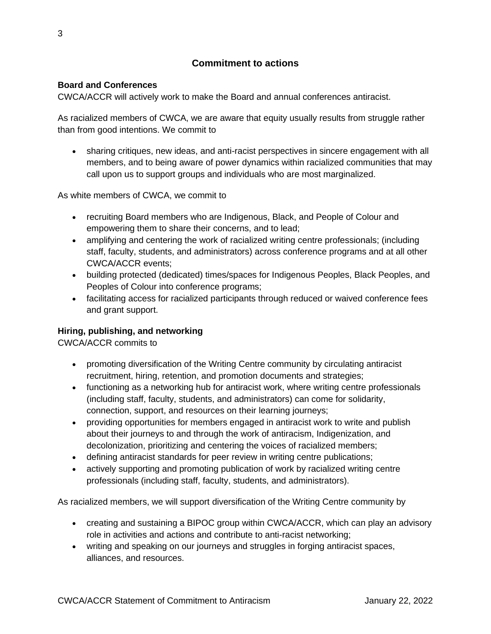## **Commitment to actions**

#### **Board and Conferences**

CWCA/ACCR will actively work to make the Board and annual conferences antiracist.

As racialized members of CWCA, we are aware that equity usually results from struggle rather than from good intentions. We commit to

• sharing critiques, new ideas, and anti-racist perspectives in sincere engagement with all members, and to being aware of power dynamics within racialized communities that may call upon us to support groups and individuals who are most marginalized.

As white members of CWCA, we commit to

- recruiting Board members who are Indigenous, Black, and People of Colour and empowering them to share their concerns, and to lead;
- amplifying and centering the work of racialized writing centre professionals; (including staff, faculty, students, and administrators) across conference programs and at all other CWCA/ACCR events;
- building protected (dedicated) times/spaces for Indigenous Peoples, Black Peoples, and Peoples of Colour into conference programs;
- facilitating access for racialized participants through reduced or waived conference fees and grant support.

#### **Hiring, publishing, and networking**

CWCA/ACCR commits to

- promoting diversification of the Writing Centre community by circulating antiracist recruitment, hiring, retention, and promotion documents and strategies;
- functioning as a networking hub for antiracist work, where writing centre professionals (including staff, faculty, students, and administrators) can come for solidarity, connection, support, and resources on their learning journeys;
- providing opportunities for members engaged in antiracist work to write and publish about their journeys to and through the work of antiracism, Indigenization, and decolonization, prioritizing and centering the voices of racialized members;
- defining antiracist standards for peer review in writing centre publications;
- actively supporting and promoting publication of work by racialized writing centre professionals (including staff, faculty, students, and administrators).

As racialized members, we will support diversification of the Writing Centre community by

- creating and sustaining a BIPOC group within CWCA/ACCR, which can play an advisory role in activities and actions and contribute to anti-racist networking;
- writing and speaking on our journeys and struggles in forging antiracist spaces, alliances, and resources.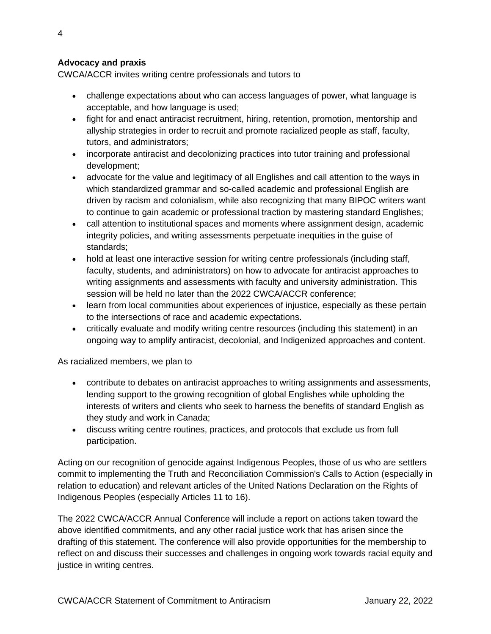### **Advocacy and praxis**

CWCA/ACCR invites writing centre professionals and tutors to

- challenge expectations about who can access languages of power, what language is acceptable, and how language is used;
- fight for and enact antiracist recruitment, hiring, retention, promotion, mentorship and allyship strategies in order to recruit and promote racialized people as staff, faculty, tutors, and administrators;
- incorporate antiracist and decolonizing practices into tutor training and professional development;
- advocate for the value and legitimacy of all Englishes and call attention to the ways in which standardized grammar and so-called academic and professional English are driven by racism and colonialism, while also recognizing that many BIPOC writers want to continue to gain academic or professional traction by mastering standard Englishes;
- call attention to institutional spaces and moments where assignment design, academic integrity policies, and writing assessments perpetuate inequities in the guise of standards;
- hold at least one interactive session for writing centre professionals (including staff, faculty, students, and administrators) on how to advocate for antiracist approaches to writing assignments and assessments with faculty and university administration. This session will be held no later than the 2022 CWCA/ACCR conference;
- learn from local communities about experiences of injustice, especially as these pertain to the intersections of race and academic expectations.
- critically evaluate and modify writing centre resources (including this statement) in an ongoing way to amplify antiracist, decolonial, and Indigenized approaches and content.

As racialized members, we plan to

- contribute to debates on antiracist approaches to writing assignments and assessments, lending support to the growing recognition of global Englishes while upholding the interests of writers and clients who seek to harness the benefits of standard English as they study and work in Canada;
- discuss writing centre routines, practices, and protocols that exclude us from full participation.

Acting on our recognition of genocide against Indigenous Peoples, those of us who are settlers commit to implementing the Truth and Reconciliation Commission's Calls to Action (especially in relation to education) and relevant articles of the United Nations Declaration on the Rights of Indigenous Peoples (especially Articles 11 to 16).

The 2022 CWCA/ACCR Annual Conference will include a report on actions taken toward the above identified commitments, and any other racial justice work that has arisen since the drafting of this statement. The conference will also provide opportunities for the membership to reflect on and discuss their successes and challenges in ongoing work towards racial equity and justice in writing centres.